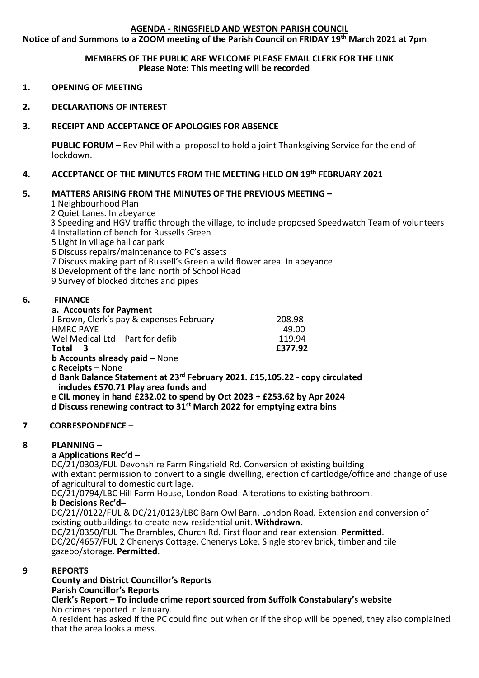#### **AGENDA - RINGSFIELD AND WESTON PARISH COUNCIL**

**Notice of and Summons to a ZOOM meeting of the Parish Council on FRIDAY 19th March 2021 at 7pm**

#### **MEMBERS OF THE PUBLIC ARE WELCOME PLEASE EMAIL CLERK FOR THE LINK Please Note: This meeting will be recorded**

- **1. OPENING OF MEETING**
- **2. DECLARATIONS OF INTEREST**

## **3. RECEIPT AND ACCEPTANCE OF APOLOGIES FOR ABSENCE**

**PUBLIC FORUM –** Rev Phil with a proposal to hold a joint Thanksgiving Service for the end of lockdown.

## **4. ACCEPTANCE OF THE MINUTES FROM THE MEETING HELD ON 19th FEBRUARY 2021**

#### **5. MATTERS ARISING FROM THE MINUTES OF THE PREVIOUS MEETING –**

- 1 Neighbourhood Plan
- 2 Quiet Lanes. In abeyance
- 3 Speeding and HGV traffic through the village, to include proposed Speedwatch Team of volunteers
- 4 Installation of bench for Russells Green
- 5 Light in village hall car park
- 6 Discuss repairs/maintenance to PC's assets
- 7 Discuss making part of Russell's Green a wild flower area. In abeyance
- 8 Development of the land north of School Road
- 9 Survey of blocked ditches and pipes

#### **6. FINANCE**

#### **a. Accounts for Payment**

| J Brown, Clerk's pay & expenses February | 208.98  |
|------------------------------------------|---------|
| <b>HMRC PAYE</b>                         | 49.00   |
| Wel Medical Ltd - Part for defib         | 119.94  |
| Total 3                                  | £377.92 |
| <b>b Accounts already paid - None</b>    |         |
| a Decejnie – Nonc                        |         |

**c Receipts** – None

- **d Bank Balance Statement at 23rd February 2021. £15,105.22 - copy circulated includes £570.71 Play area funds and**
- **e CIL money in hand £232.02 to spend by Oct 2023 + £253.62 by Apr 2024**

 **d Discuss renewing contract to 31st March 2022 for emptying extra bins**

#### **7 CORRESPONDENCE** –

#### **8 PLANNING –**

#### **a Applications Rec'd –**

 DC/21/0303/FUL Devonshire Farm Ringsfield Rd. Conversion of existing building with extant permission to convert to a single dwelling, erection of cartlodge/office and change of use of agricultural to domestic curtilage.

DC/21/0794/LBC Hill Farm House, London Road. Alterations to existing bathroom.

#### **b Decisions Rec'd–**

DC/21//0122/FUL & DC/21/0123/LBC Barn Owl Barn, London Road. Extension and conversion of existing outbuildings to create new residential unit. **Withdrawn.**

 DC/21/0350/FUL The Brambles, Church Rd. First floor and rear extension. **Permitted**. DC/20/4657/FUL 2 Chenerys Cottage, Chenerys Loke. Single storey brick, timber and tile gazebo/storage. **Permitted**.

#### $\mathbf{q}$ **9 REPORTS**

# **County and District Councillor's Reports**

**Parish Councillor's Reports**

#### **Clerk's Report – To include crime report sourced from Suffolk Constabulary's website** No crimes reported in January.

 A resident has asked if the PC could find out when or if the shop will be opened, they also complained that the area looks a mess.